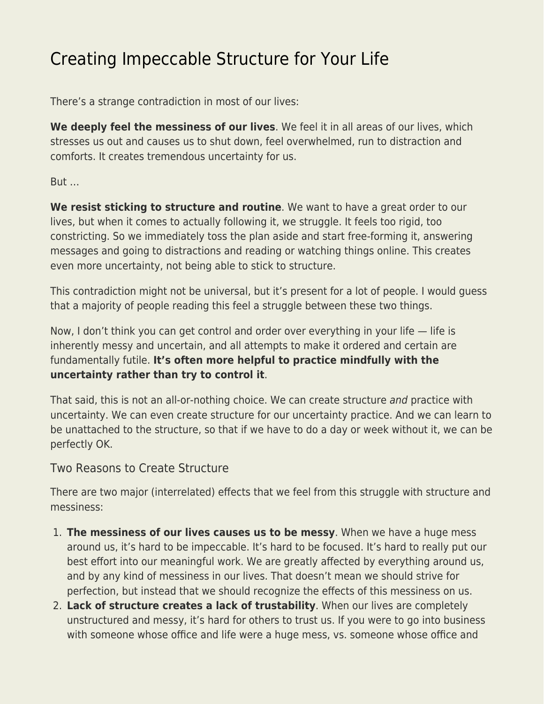# [Creating Impeccable Structure for Your Life](https://everything-voluntary.com/creating-impeccable-structure-for-your-life)

There's a strange contradiction in most of our lives:

**We deeply feel the messiness of our lives**. We feel it in all areas of our lives, which stresses us out and causes us to shut down, feel overwhelmed, run to distraction and comforts. It creates tremendous uncertainty for us.

But …

**We resist sticking to structure and routine**. We want to have a great order to our lives, but when it comes to actually following it, we struggle. It feels too rigid, too constricting. So we immediately toss the plan aside and start free-forming it, answering messages and going to distractions and reading or watching things online. This creates even more uncertainty, not being able to stick to structure.

This contradiction might not be universal, but it's present for a lot of people. I would guess that a majority of people reading this feel a struggle between these two things.

Now, I don't think you can get control and order over everything in your life — life is inherently messy and uncertain, and all attempts to make it ordered and certain are fundamentally futile. **It's often more helpful to practice mindfully with the uncertainty rather than try to control it**.

That said, this is not an all-or-nothing choice. We can create structure and practice with uncertainty. We can even create structure for our uncertainty practice. And we can learn to be unattached to the structure, so that if we have to do a day or week without it, we can be perfectly OK.

Two Reasons to Create Structure

There are two major (interrelated) effects that we feel from this struggle with structure and messiness:

- 1. **The messiness of our lives causes us to be messy**. When we have a huge mess around us, it's hard to be impeccable. It's hard to be focused. It's hard to really put our best effort into our meaningful work. We are greatly affected by everything around us, and by any kind of messiness in our lives. That doesn't mean we should strive for perfection, but instead that we should recognize the effects of this messiness on us.
- 2. **Lack of structure creates a lack of trustability**. When our lives are completely unstructured and messy, it's hard for others to trust us. If you were to go into business with someone whose office and life were a huge mess, vs. someone whose office and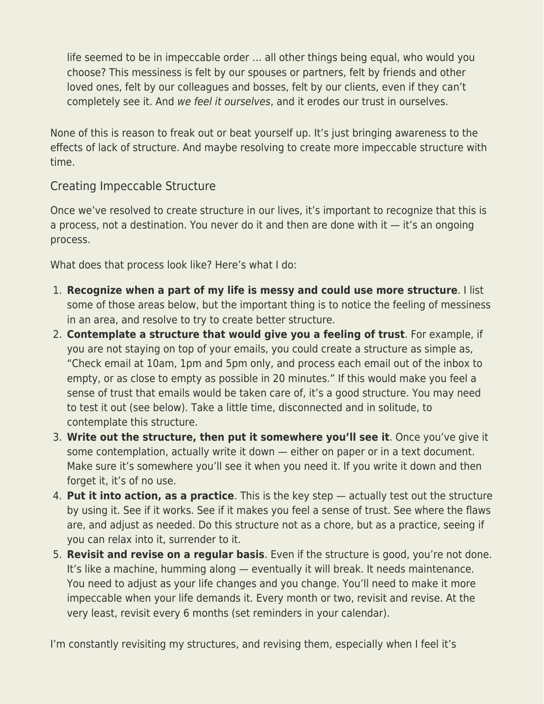life seemed to be in impeccable order … all other things being equal, who would you choose? This messiness is felt by our spouses or partners, felt by friends and other loved ones, felt by our colleagues and bosses, felt by our clients, even if they can't completely see it. And we feel it ourselves, and it erodes our trust in ourselves.

None of this is reason to freak out or beat yourself up. It's just bringing awareness to the effects of lack of structure. And maybe resolving to create more impeccable structure with time.

#### Creating Impeccable Structure

Once we've resolved to create structure in our lives, it's important to recognize that this is a process, not a destination. You never do it and then are done with it  $-$  it's an ongoing process.

What does that process look like? Here's what I do:

- 1. **Recognize when a part of my life is messy and could use more structure**. I list some of those areas below, but the important thing is to notice the feeling of messiness in an area, and resolve to try to create better structure.
- 2. **Contemplate a structure that would give you a feeling of trust**. For example, if you are not staying on top of your emails, you could create a structure as simple as, "Check email at 10am, 1pm and 5pm only, and process each email out of the inbox to empty, or as close to empty as possible in 20 minutes." If this would make you feel a sense of trust that emails would be taken care of, it's a good structure. You may need to test it out (see below). Take a little time, disconnected and in solitude, to contemplate this structure.
- 3. **Write out the structure, then put it somewhere you'll see it**. Once you've give it some contemplation, actually write it down — either on paper or in a text document. Make sure it's somewhere you'll see it when you need it. If you write it down and then forget it, it's of no use.
- 4. **Put it into action, as a practice**. This is the key step actually test out the structure by using it. See if it works. See if it makes you feel a sense of trust. See where the flaws are, and adjust as needed. Do this structure not as a chore, but as a practice, seeing if you can relax into it, surrender to it.
- 5. **Revisit and revise on a regular basis**. Even if the structure is good, you're not done. It's like a machine, humming along — eventually it will break. It needs maintenance. You need to adjust as your life changes and you change. You'll need to make it more impeccable when your life demands it. Every month or two, revisit and revise. At the very least, revisit every 6 months (set reminders in your calendar).

I'm constantly revisiting my structures, and revising them, especially when I feel it's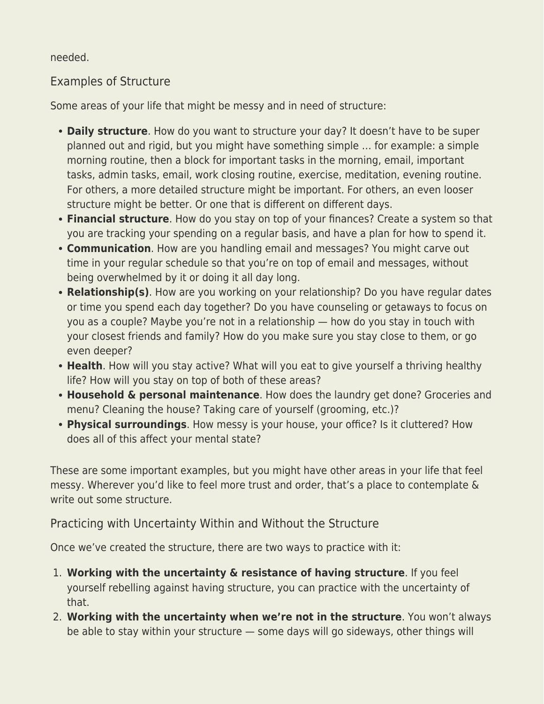needed.

## Examples of Structure

Some areas of your life that might be messy and in need of structure:

- **Daily structure**. How do you want to structure your day? It doesn't have to be super planned out and rigid, but you might have something simple … for example: a simple morning routine, then a block for important tasks in the morning, email, important tasks, admin tasks, email, work closing routine, exercise, meditation, evening routine. For others, a more detailed structure might be important. For others, an even looser structure might be better. Or one that is different on different days.
- **Financial structure**. How do you stay on top of your finances? Create a system so that you are tracking your spending on a regular basis, and have a plan for how to spend it.
- **Communication**. How are you handling email and messages? You might carve out time in your regular schedule so that you're on top of email and messages, without being overwhelmed by it or doing it all day long.
- **Relationship(s)**. How are you working on your relationship? Do you have regular dates or time you spend each day together? Do you have counseling or getaways to focus on you as a couple? Maybe you're not in a relationship — how do you stay in touch with your closest friends and family? How do you make sure you stay close to them, or go even deeper?
- **Health**. How will you stay active? What will you eat to give yourself a thriving healthy life? How will you stay on top of both of these areas?
- **Household & personal maintenance**. How does the laundry get done? Groceries and menu? Cleaning the house? Taking care of yourself (grooming, etc.)?
- **Physical surroundings**. How messy is your house, your office? Is it cluttered? How does all of this affect your mental state?

These are some important examples, but you might have other areas in your life that feel messy. Wherever you'd like to feel more trust and order, that's a place to contemplate & write out some structure.

## Practicing with Uncertainty Within and Without the Structure

Once we've created the structure, there are two ways to practice with it:

- 1. **Working with the uncertainty & resistance of having structure**. If you feel yourself rebelling against having structure, you can practice with the uncertainty of that.
- 2. **Working with the uncertainty when we're not in the structure**. You won't always be able to stay within your structure — some days will go sideways, other things will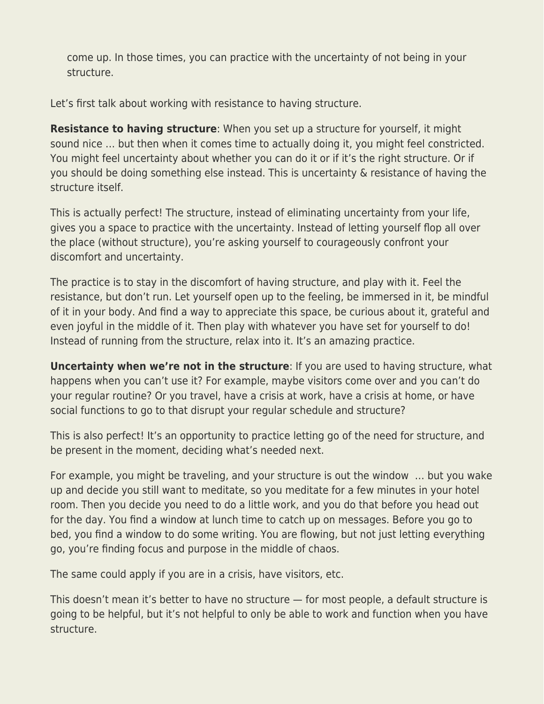come up. In those times, you can practice with the uncertainty of not being in your structure.

Let's first talk about working with resistance to having structure.

**Resistance to having structure**: When you set up a structure for yourself, it might sound nice … but then when it comes time to actually doing it, you might feel constricted. You might feel uncertainty about whether you can do it or if it's the right structure. Or if you should be doing something else instead. This is uncertainty & resistance of having the structure itself.

This is actually perfect! The structure, instead of eliminating uncertainty from your life, gives you a space to practice with the uncertainty. Instead of letting yourself flop all over the place (without structure), you're asking yourself to courageously confront your discomfort and uncertainty.

The practice is to stay in the discomfort of having structure, and play with it. Feel the resistance, but don't run. Let yourself open up to the feeling, be immersed in it, be mindful of it in your body. And find a way to appreciate this space, be curious about it, grateful and even joyful in the middle of it. Then play with whatever you have set for yourself to do! Instead of running from the structure, relax into it. It's an amazing practice.

**Uncertainty when we're not in the structure**: If you are used to having structure, what happens when you can't use it? For example, maybe visitors come over and you can't do your regular routine? Or you travel, have a crisis at work, have a crisis at home, or have social functions to go to that disrupt your regular schedule and structure?

This is also perfect! It's an opportunity to practice letting go of the need for structure, and be present in the moment, deciding what's needed next.

For example, you might be traveling, and your structure is out the window … but you wake up and decide you still want to meditate, so you meditate for a few minutes in your hotel room. Then you decide you need to do a little work, and you do that before you head out for the day. You find a window at lunch time to catch up on messages. Before you go to bed, you find a window to do some writing. You are flowing, but not just letting everything go, you're finding focus and purpose in the middle of chaos.

The same could apply if you are in a crisis, have visitors, etc.

This doesn't mean it's better to have no structure — for most people, a default structure is going to be helpful, but it's not helpful to only be able to work and function when you have structure.